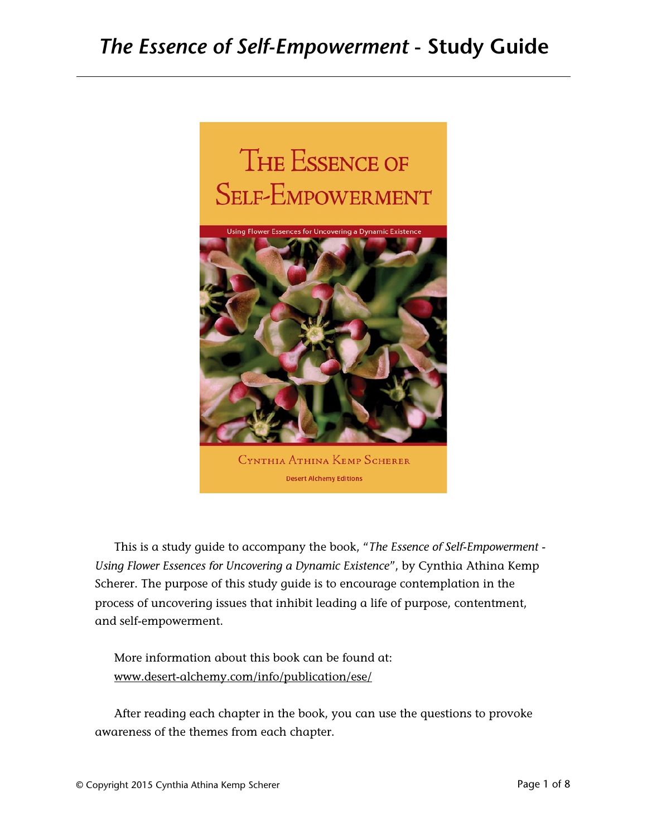

This is a study guide to accompany the book, "*The Essence of Self-Empowerment - Using Flower Essences for Uncovering a Dynamic Existence*", by Cynthia Athina Kemp Scherer. The purpose of this study guide is to encourage contemplation in the process of uncovering issues that inhibit leading a life of purpose, contentment, and self-empowerment.

More information about this book can be found at: [www.desert-alchemy.com/info/publication/ese/](http://www.desert-alchemy.com/info/publication/ese/)

After reading each chapter in the book, you can use the questions to provoke awareness of the themes from each chapter.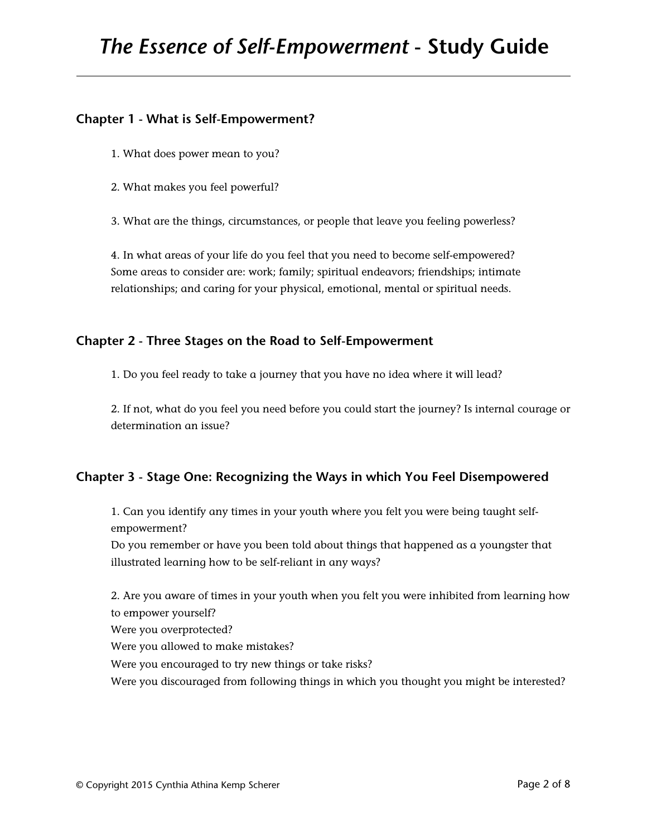# **Chapter 1 - What is Self-Empowerment?**

- 1. What does power mean to you?
- 2. What makes you feel powerful?
- 3. What are the things, circumstances, or people that leave you feeling powerless?

4. In what areas of your life do you feel that you need to become self-empowered? Some areas to consider are: work; family; spiritual endeavors; friendships; intimate relationships; and caring for your physical, emotional, mental or spiritual needs.

### **Chapter 2 - Three Stages on the Road to Self-Empowerment**

1. Do you feel ready to take a journey that you have no idea where it will lead?

2. If not, what do you feel you need before you could start the journey? Is internal courage or determination an issue?

# **Chapter 3 - Stage One: Recognizing the Ways in which You Feel Disempowered**

1. Can you identify any times in your youth where you felt you were being taught selfempowerment? Do you remember or have you been told about things that happened as a youngster that illustrated learning how to be self-reliant in any ways?

2. Are you aware of times in your youth when you felt you were inhibited from learning how to empower yourself? Were you overprotected? Were you allowed to make mistakes? Were you encouraged to try new things or take risks? Were you discouraged from following things in which you thought you might be interested?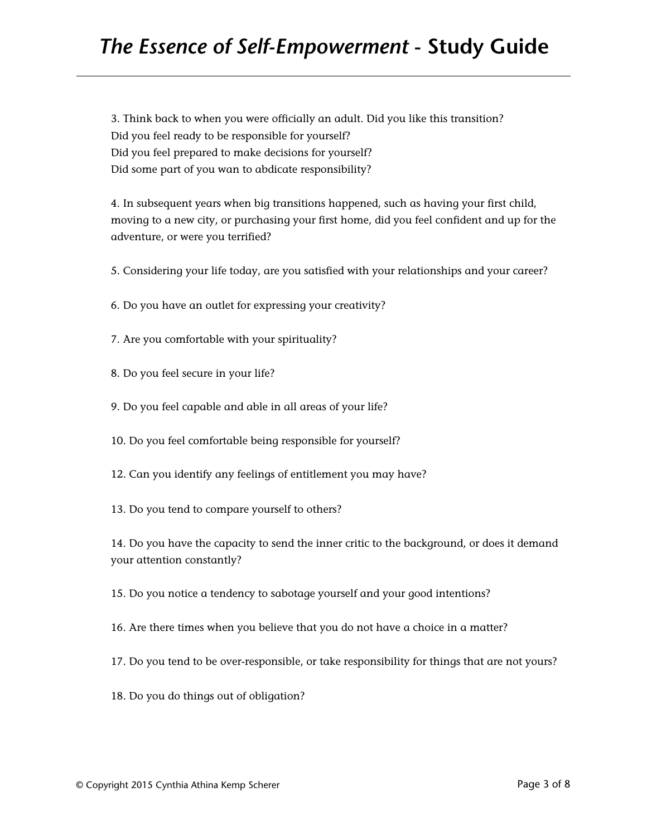3. Think back to when you were officially an adult. Did you like this transition? Did you feel ready to be responsible for yourself? Did you feel prepared to make decisions for yourself? Did some part of you wan to abdicate responsibility?

4. In subsequent years when big transitions happened, such as having your first child, moving to a new city, or purchasing your first home, did you feel confident and up for the adventure, or were you terrified?

- 5. Considering your life today, are you satisfied with your relationships and your career?
- 6. Do you have an outlet for expressing your creativity?
- 7. Are you comfortable with your spirituality?
- 8. Do you feel secure in your life?
- 9. Do you feel capable and able in all areas of your life?
- 10. Do you feel comfortable being responsible for yourself?
- 12. Can you identify any feelings of entitlement you may have?
- 13. Do you tend to compare yourself to others?

14. Do you have the capacity to send the inner critic to the background, or does it demand your attention constantly?

15. Do you notice a tendency to sabotage yourself and your good intentions?

- 16. Are there times when you believe that you do not have a choice in a matter?
- 17. Do you tend to be over-responsible, or take responsibility for things that are not yours?
- 18. Do you do things out of obligation?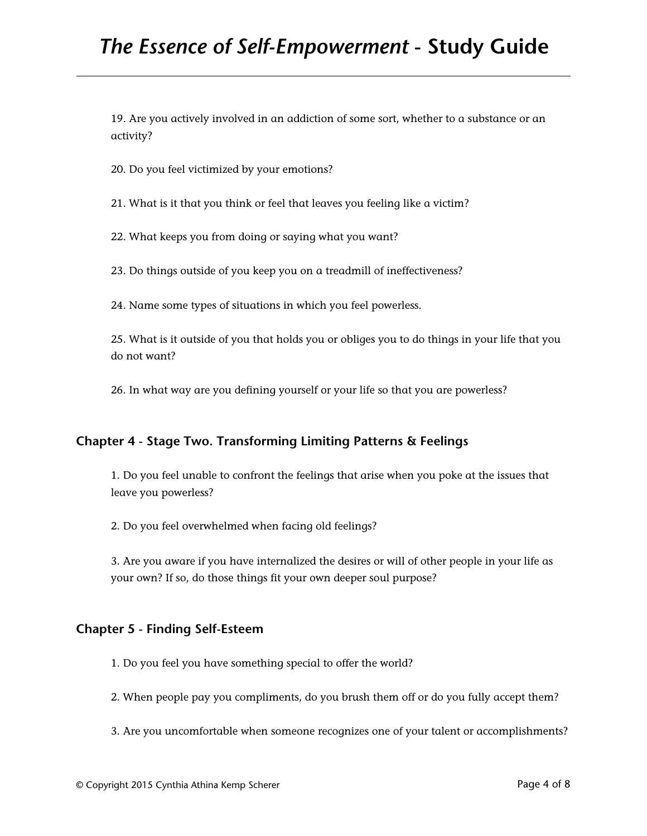19. Are you actively involved in an addiction of some sort, whether to a substance or an activity?

20. Do you feel victimized by your emotions?

21. What is it that you think or feel that leaves you feeling like a victim?

22. What keeps you from doing or saying what you want?

23. Do things outside of you keep you on a treadmill of ineffectiveness?

24. Name some types of situations in which you feel powerless.

25. What is it outside of you that holds you or obliges you to do things in your life that you do not want?

26. In what way are you defining yourself or your life so that you are powerless?

### **Chapter 4 - Stage Two. Transforming Limiting Patterns & Feelings**

1. Do you feel unable to confront the feelings that arise when you poke at the issues that leave you powerless?

2. Do you feel overwhelmed when facing old feelings?

3. Are you aware if you have internalized the desires or will of other people in your life as your own? If so, do those things fit your own deeper soul purpose?

#### **Chapter 5 - Finding Self-Esteem**

1. Do you feel you have something special to offer the world?

2. When people pay you compliments, do you brush them off or do you fully accept them?

3. Are you uncomfortable when someone recognizes one of your talent or accomplishments?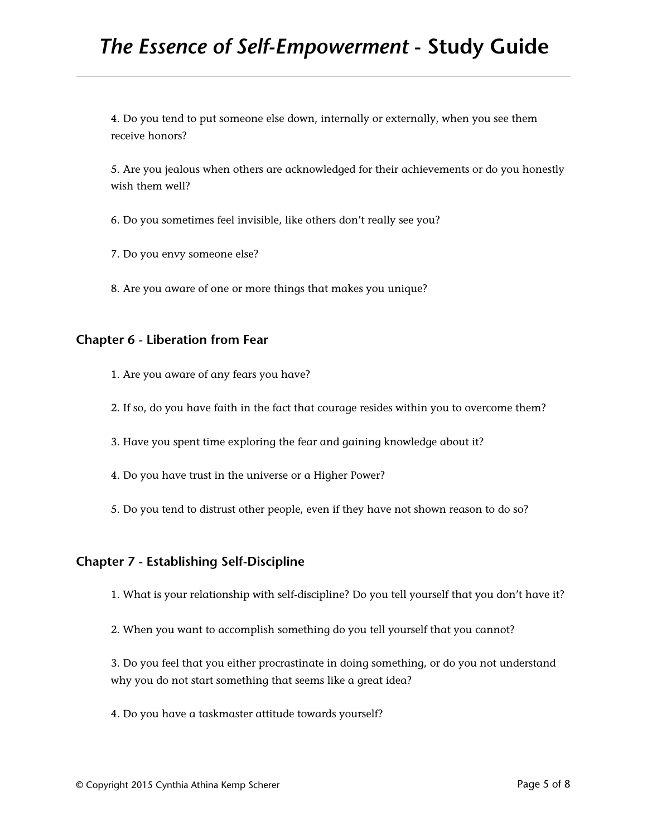4. Do you tend to put someone else down, internally or externally, when you see them receive honors?

5. Are you jealous when others are acknowledged for their achievements or do you honestly wish them well?

6. Do you sometimes feel invisible, like others don't really see you?

7. Do you envy someone else?

8. Are you aware of one or more things that makes you unique?

#### **Chapter 6 - Liberation from Fear**

- 1. Are you aware of any fears you have?
- 2. If so, do you have faith in the fact that courage resides within you to overcome them?

3. Have you spent time exploring the fear and gaining knowledge about it?

- 4. Do you have trust in the universe or a Higher Power?
- 5. Do you tend to distrust other people, even if they have not shown reason to do so?

### **Chapter 7 - Establishing Self-Discipline**

1. What is your relationship with self-discipline? Do you tell yourself that you don't have it?

2. When you want to accomplish something do you tell yourself that you cannot?

3. Do you feel that you either procrastinate in doing something, or do you not understand why you do not start something that seems like a great idea?

4. Do you have a taskmaster attitude towards yourself?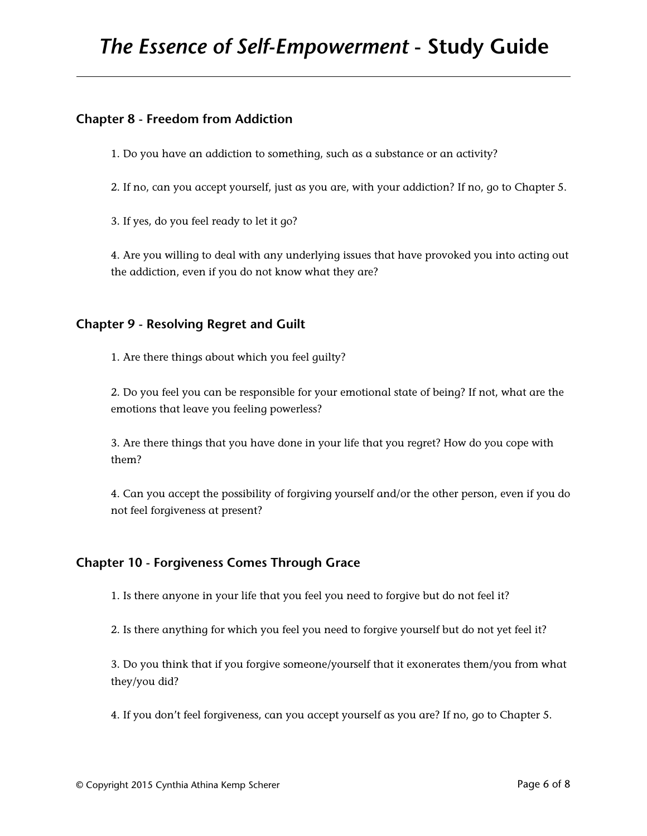# **Chapter 8 - Freedom from Addiction**

1. Do you have an addiction to something, such as a substance or an activity?

2. If no, can you accept yourself, just as you are, with your addiction? If no, go to Chapter 5.

3. If yes, do you feel ready to let it go?

4. Are you willing to deal with any underlying issues that have provoked you into acting out the addiction, even if you do not know what they are?

# **Chapter 9 - Resolving Regret and Guilt**

1. Are there things about which you feel guilty?

2. Do you feel you can be responsible for your emotional state of being? If not, what are the emotions that leave you feeling powerless?

3. Are there things that you have done in your life that you regret? How do you cope with them?

4. Can you accept the possibility of forgiving yourself and/or the other person, even if you do not feel forgiveness at present?

### **Chapter 10 - Forgiveness Comes Through Grace**

1. Is there anyone in your life that you feel you need to forgive but do not feel it?

2. Is there anything for which you feel you need to forgive yourself but do not yet feel it?

3. Do you think that if you forgive someone/yourself that it exonerates them/you from what they/you did?

4. If you don't feel forgiveness, can you accept yourself as you are? If no, go to Chapter 5.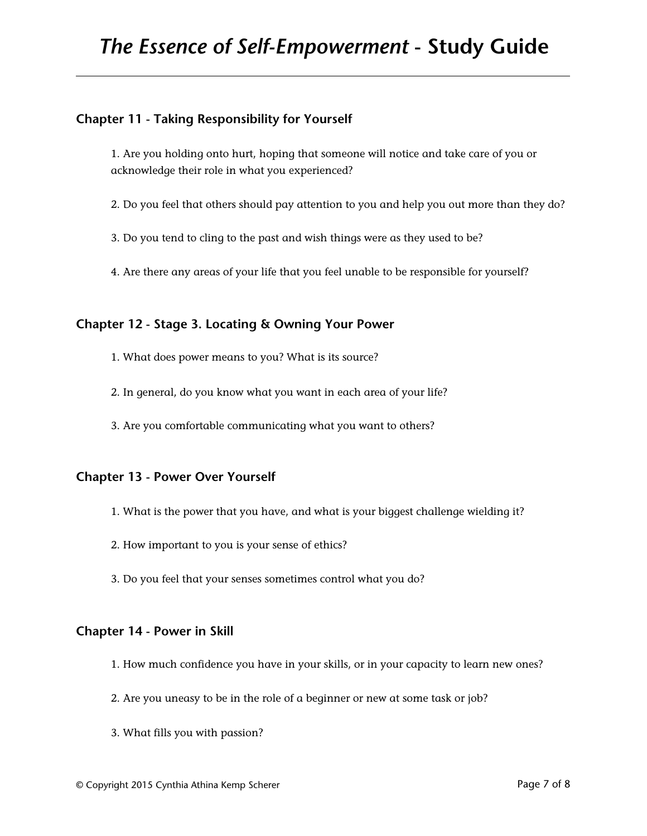# **Chapter 11 - Taking Responsibility for Yourself**

1. Are you holding onto hurt, hoping that someone will notice and take care of you or acknowledge their role in what you experienced?

- 2. Do you feel that others should pay attention to you and help you out more than they do?
- 3. Do you tend to cling to the past and wish things were as they used to be?
- 4. Are there any areas of your life that you feel unable to be responsible for yourself?

### **Chapter 12 - Stage 3. Locating & Owning Your Power**

- 1. What does power means to you? What is its source?
- 2. In general, do you know what you want in each area of your life?
- 3. Are you comfortable communicating what you want to others?

### **Chapter 13 - Power Over Yourself**

- 1. What is the power that you have, and what is your biggest challenge wielding it?
- 2. How important to you is your sense of ethics?
- 3. Do you feel that your senses sometimes control what you do?

### **Chapter 14 - Power in Skill**

- 1. How much confidence you have in your skills, or in your capacity to learn new ones?
- 2. Are you uneasy to be in the role of a beginner or new at some task or job?
- 3. What fills you with passion?